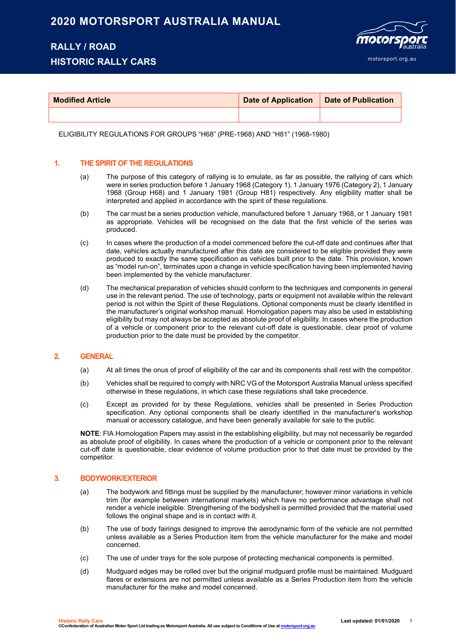## **2020 MOTORSPORT AUSTRALIA MANUAL**

# **RALLY / ROAD**

## **HISTORIC RALLY CARS**



| <b>Modified Article</b> | <b>Date of Application</b> | Date of Publication |
|-------------------------|----------------------------|---------------------|
|                         |                            |                     |

ELIGIBILITY REGULATIONS FOR GROUPS "H68" (PRE-1968) AND "H81" (1968-1980)

### **1. THE SPIRIT OF THE REGULATIONS**

- (a) The purpose of this category of rallying is to emulate, as far as possible, the rallying of cars which were in series production before 1 January 1968 (Category 1), 1 January 1976 (Category 2), 1 January 1968 (Group H68) and 1 January 1981 (Group H81) respectively. Any eligibility matter shall be interpreted and applied in accordance with the spirit of these regulations.
- (b) The car must be a series production vehicle, manufactured before 1 January 1968, or 1 January 1981 as appropriate. Vehicles will be recognised on the date that the first vehicle of the series was produced.
- (c) In cases where the production of a model commenced before the cut-off date and continues after that date, vehicles actually manufactured after this date are considered to be eligible provided they were produced to exactly the same specification as vehicles built prior to the date. This provision, known as "model run-on", terminates upon a change in vehicle specification having been implemented having been implemented by the vehicle manufacturer.
- (d) The mechanical preparation of vehicles should conform to the techniques and components in general use in the relevant period. The use of technology, parts or equipment not available within the relevant period is not within the Spirit of these Regulations. Optional components must be clearly identified in the manufacturer's original workshop manual. Homologation papers may also be used in establishing eligibility but may not always be accepted as absolute proof of eligibility. In cases where the production of a vehicle or component prior to the relevant cut-off date is questionable, clear proof of volume production prior to the date must be provided by the competitor.

#### **2. GENERAL**

- (a) At all times the onus of proof of eligibility of the car and its components shall rest with the competitor.
- (b) Vehicles shall be required to comply with NRC VG of the Motorsport Australia Manual unless specified otherwise in these regulations, in which case these regulations shall take precedence.
- (c) Except as provided for by these Regulations, vehicles shall be presented in Series Production specification. Any optional components shall be clearly identified in the manufacturer's workshop manual or accessory catalogue, and have been generally available for sale to the public.

**NOTE**: FIA Homologation Papers may assist in the establishing eligibility, but may not necessarily be regarded as absolute proof of eligibility. In cases where the production of a vehicle or component prior to the relevant cut-off date is questionable, clear evidence of volume production prior to that date must be provided by the competitor.

#### **3. BODYWORK/EXTERIOR**

- (a) The bodywork and fittings must be supplied by the manufacturer; however minor variations in vehicle trim (for example between international markets) which have no performance advantage shall not render a vehicle ineligible. Strengthening of the bodyshell is permitted provided that the material used follows the original shape and is in contact with it.
- (b) The use of body fairings designed to improve the aerodynamic form of the vehicle are not permitted unless available as a Series Production item from the vehicle manufacturer for the make and model concerned.
- (c) The use of under trays for the sole purpose of protecting mechanical components is permitted.
- (d) Mudguard edges may be rolled over but the original mudguard profile must be maintained. Mudguard flares or extensions are not permitted unless available as a Series Production item from the vehicle manufacturer for the make and model concerned.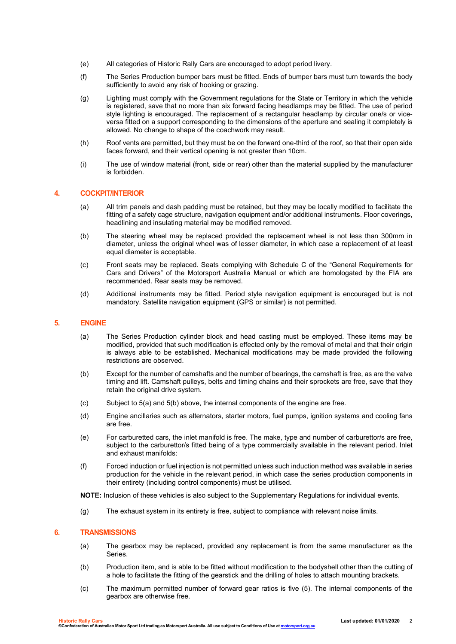- (e) All categories of Historic Rally Cars are encouraged to adopt period livery.
- (f) The Series Production bumper bars must be fitted. Ends of bumper bars must turn towards the body sufficiently to avoid any risk of hooking or grazing.
- (g) Lighting must comply with the Government regulations for the State or Territory in which the vehicle is registered, save that no more than six forward facing headlamps may be fitted. The use of period style lighting is encouraged. The replacement of a rectangular headlamp by circular one/s or viceversa fitted on a support corresponding to the dimensions of the aperture and sealing it completely is allowed. No change to shape of the coachwork may result.
- (h) Roof vents are permitted, but they must be on the forward one-third of the roof, so that their open side faces forward, and their vertical opening is not greater than 10cm.
- (i) The use of window material (front, side or rear) other than the material supplied by the manufacturer is forbidden.

#### **4. COCKPIT/INTERIOR**

- (a) All trim panels and dash padding must be retained, but they may be locally modified to facilitate the fitting of a safety cage structure, navigation equipment and/or additional instruments. Floor coverings, headlining and insulating material may be modified removed.
- (b) The steering wheel may be replaced provided the replacement wheel is not less than 300mm in diameter, unless the original wheel was of lesser diameter, in which case a replacement of at least equal diameter is acceptable.
- (c) Front seats may be replaced. Seats complying with Schedule C of the "General Requirements for Cars and Drivers" of the Motorsport Australia Manual or which are homologated by the FIA are recommended. Rear seats may be removed.
- (d) Additional instruments may be fitted. Period style navigation equipment is encouraged but is not mandatory. Satellite navigation equipment (GPS or similar) is not permitted.

#### **5. ENGINE**

- (a) The Series Production cylinder block and head casting must be employed. These items may be modified, provided that such modification is effected only by the removal of metal and that their origin is always able to be established. Mechanical modifications may be made provided the following restrictions are observed.
- (b) Except for the number of camshafts and the number of bearings, the camshaft is free, as are the valve timing and lift. Camshaft pulleys, belts and timing chains and their sprockets are free, save that they retain the original drive system.
- (c) Subject to 5(a) and 5(b) above, the internal components of the engine are free.
- (d) Engine ancillaries such as alternators, starter motors, fuel pumps, ignition systems and cooling fans are free.
- (e) For carburetted cars, the inlet manifold is free. The make, type and number of carburettor/s are free, subject to the carburettor/s fitted being of a type commercially available in the relevant period. Inlet and exhaust manifolds:
- (f) Forced induction or fuel injection is not permitted unless such induction method was available in series production for the vehicle in the relevant period, in which case the series production components in their entirety (including control components) must be utilised.

**NOTE:** Inclusion of these vehicles is also subject to the Supplementary Regulations for individual events.

(g) The exhaust system in its entirety is free, subject to compliance with relevant noise limits.

#### **6. TRANSMISSIONS**

- (a) The gearbox may be replaced, provided any replacement is from the same manufacturer as the Series.
- (b) Production item, and is able to be fitted without modification to the bodyshell other than the cutting of a hole to facilitate the fitting of the gearstick and the drilling of holes to attach mounting brackets.
- (c) The maximum permitted number of forward gear ratios is five (5). The internal components of the gearbox are otherwise free.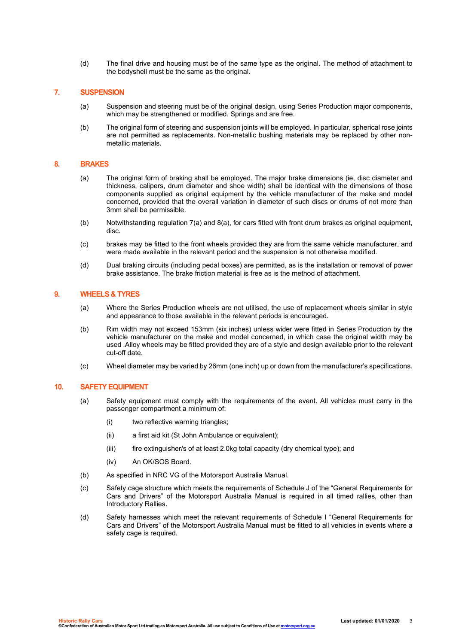(d) The final drive and housing must be of the same type as the original. The method of attachment to the bodyshell must be the same as the original.

#### **7. SUSPENSION**

- (a) Suspension and steering must be of the original design, using Series Production major components, which may be strengthened or modified. Springs and are free.
- (b) The original form of steering and suspension joints will be employed. In particular, spherical rose joints are not permitted as replacements. Non-metallic bushing materials may be replaced by other nonmetallic materials.

#### **8. BRAKES**

- (a) The original form of braking shall be employed. The major brake dimensions (ie, disc diameter and thickness, calipers, drum diameter and shoe width) shall be identical with the dimensions of those components supplied as original equipment by the vehicle manufacturer of the make and model concerned, provided that the overall variation in diameter of such discs or drums of not more than 3mm shall be permissible.
- (b) Notwithstanding regulation 7(a) and 8(a), for cars fitted with front drum brakes as original equipment, disc.
- (c) brakes may be fitted to the front wheels provided they are from the same vehicle manufacturer, and were made available in the relevant period and the suspension is not otherwise modified.
- (d) Dual braking circuits (including pedal boxes) are permitted, as is the installation or removal of power brake assistance. The brake friction material is free as is the method of attachment.

#### **9. WHEELS & TYRES**

- (a) Where the Series Production wheels are not utilised, the use of replacement wheels similar in style and appearance to those available in the relevant periods is encouraged.
- (b) Rim width may not exceed 153mm (six inches) unless wider were fitted in Series Production by the vehicle manufacturer on the make and model concerned, in which case the original width may be used .Alloy wheels may be fitted provided they are of a style and design available prior to the relevant cut-off date.
- (c) Wheel diameter may be varied by 26mm (one inch) up or down from the manufacturer's specifications.

#### **10. SAFETY EQUIPMENT**

- (a) Safety equipment must comply with the requirements of the event. All vehicles must carry in the passenger compartment a minimum of:
	- (i) two reflective warning triangles;
	- (ii) a first aid kit (St John Ambulance or equivalent);
	- (iii) fire extinguisher/s of at least 2.0kg total capacity (dry chemical type); and
	- (iv) An OK/SOS Board.
- (b) As specified in NRC VG of the Motorsport Australia Manual.
- (c) Safety cage structure which meets the requirements of Schedule J of the "General Requirements for Cars and Drivers" of the Motorsport Australia Manual is required in all timed rallies, other than Introductory Rallies.
- (d) Safety harnesses which meet the relevant requirements of Schedule I "General Requirements for Cars and Drivers" of the Motorsport Australia Manual must be fitted to all vehicles in events where a safety cage is required.